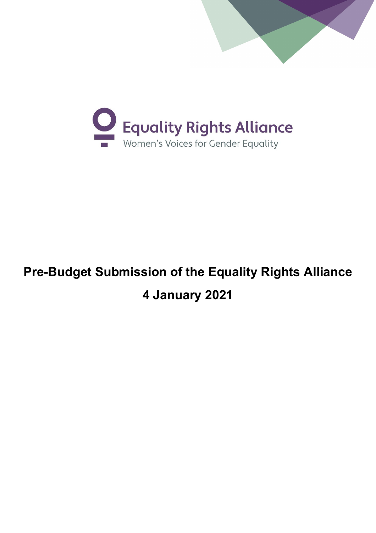



# **Pre-Budget Submission of the Equality Rights Alliance 4 January 2021**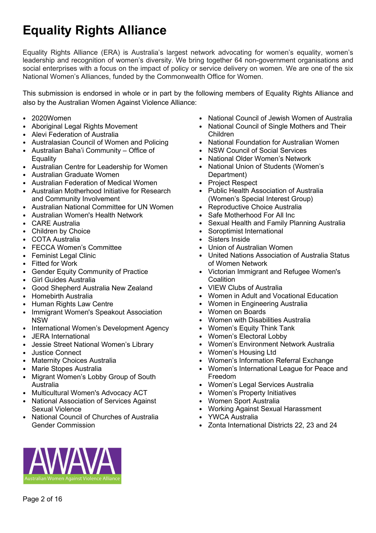# **Equality Rights Alliance**

Equality Rights Alliance (ERA) is Australia's largest network advocating for women's equality, women's leadership and recognition of women's diversity. We bring together 64 non-government organisations and social enterprises with a focus on the impact of policy or service delivery on women. We are one of the six National Women's Alliances, funded by the Commonwealth Office for Women.

This submission is endorsed in whole or in part by the following members of Equality Rights Alliance and also by the Australian Women Against Violence Alliance:

- 2020Women
- Aboriginal Legal Rights Movement
- Alevi Federation of Australia
- Australasian Council of Women and Policing
- Australian Baha'i Community Office of **Equality**
- Australian Centre for Leadership for Women
- Australian Graduate Women
- Australian Federation of Medical Women
- Australian Motherhood Initiative for Research and Community Involvement
- Australian National Committee for UN Women
- Australian Women's Health Network
- CARE Australia
- Children by Choice
- COTA Australia
- FECCA Women's Committee
- **Feminist Legal Clinic**
- Fitted for Work
- Gender Equity Community of Practice
- Girl Guides Australia
- Good Shepherd Australia New Zealand
- Homebirth Australia
- Human Rights Law Centre
- Immigrant Women's Speakout Association NSW
- International Women's Development Agency
- JERA International
- Jessie Street National Women's Library
- Justice Connect
- **Maternity Choices Australia**
- Marie Stopes Australia
- Migrant Women's Lobby Group of South Australia
- Multicultural Women's Advocacy ACT
- National Association of Services Against Sexual Violence
- National Council of Churches of Australia Gender Commission
- National Council of Jewish Women of Australia
- National Council of Single Mothers and Their Children
- National Foundation for Australian Women
- NSW Council of Social Services<br>• National Older Women's Network
- National Older Women's Network<br>• National Union of Students (Wome
- National Union of Students (Women's Department)
- Project Respect
- Public Health Association of Australia (Women's Special Interest Group)
- Reproductive Choice Australia
- Safe Motherhood For All Inc
- Sexual Health and Family Planning Australia
- Soroptimist International
- Sisters Inside
- Union of Australian Women
- United Nations Association of Australia Status of Women Network
- Victorian Immigrant and Refugee Women's **Coalition**
- VIEW Clubs of Australia
- Women in Adult and Vocational Education
- Women in Engineering Australia
- Women on Boards
- Women with Disabilities Australia
- Women's Equity Think Tank
- Women's Electoral Lobby
- Women's Environment Network Australia
- Women's Housing Ltd
- Women's Information Referral Exchange
- Women's International League for Peace and Freedom
- Women's Legal Services Australia
- Women's Property Initiatives
- Women Sport Australia
- Working Against Sexual Harassment
- YWCA Australia
- Zonta International Districts 22, 23 and 24

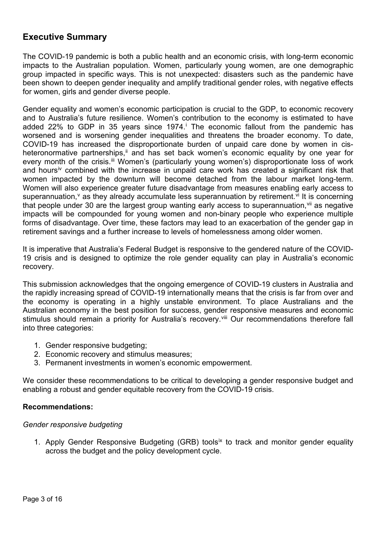## **Executive Summary**

The COVID-19 pandemic is both a public health and an economic crisis, with long-term economic impacts to the Australian population. Women, particularly young women, are one demographic group impacted in specific ways. This is not unexpected: disasters such as the pandemic have been shown to deepen gender inequality and amplify traditional gender roles, with negative effects for women, girls and gender diverse people.

Gender equality and women's economic participation is crucial to the GDP, to economic recovery and to Australia's future resilience. Women's contribution to the economy is estimated to have added 22% to GDP [i](#page-13-0)n 35 years since 1974. $\overline{a}$  The economic fallout from the pandemic has worsened and is worsening gender inequalities and threatens the broader economy. To date, COVID-19 has increased the disproportionate burden of unpaid care done by women in cisheteronormative partnerships,<sup>[ii](#page-13-1)</sup> and has set back women's economic equality by one year for every month of the crisis.<sup>[iii](#page-13-2)</sup> Women's (particularly young women's) disproportionate loss of work and hours[iv](#page-14-0) combined with the increase in unpaid care work has created a significant risk that women impacted by the downturn will become detached from the labour market long-term. Women will also experience greater future disadvantage from measures enabling early access to superannuation,<sup> $\vee$  $\vee$  $\vee$ </sup> as they already accumulate less superannuation by retirement.  $\vee$  it is concerning that people under 30 are the largest group wanting early access to superannuation,<sup>[vii](#page-14-3)</sup> as negative impacts will be compounded for young women and non-binary people who experience multiple forms of disadvantage. Over time, these factors may lead to an exacerbation of the gender gap in retirement savings and a further increase to levels of homelessness among older women.

It is imperative that Australia's Federal Budget is responsive to the gendered nature of the COVID-19 crisis and is designed to optimize the role gender equality can play in Australia's economic recovery.

This submission acknowledges that the ongoing emergence of COVID-19 clusters in Australia and the rapidly increasing spread of COVID-19 internationally means that the crisis is far from over and the economy is operating in a highly unstable environment. To place Australians and the Australian economy in the best position for success, gender responsive measures and economic stimulus should remain a priority for Australia's recovery.<sup>[viii](#page-14-4)</sup> Our recommendations therefore fall into three categories:

- 1. Gender responsive budgeting;
- 2. Economic recovery and stimulus measures;
- 3. Permanent investments in women's economic empowerment.

We consider these recommendations to be critical to developing a gender responsive budget and enabling a robust and gender equitable recovery from the COVID-19 crisis.

#### **Recommendations:**

#### *Gender responsive budgeting*

1. Apply Gender Responsive Budgeting (GRB) tools[ix](#page-14-5) to track and monitor gender equality across the budget and the policy development cycle.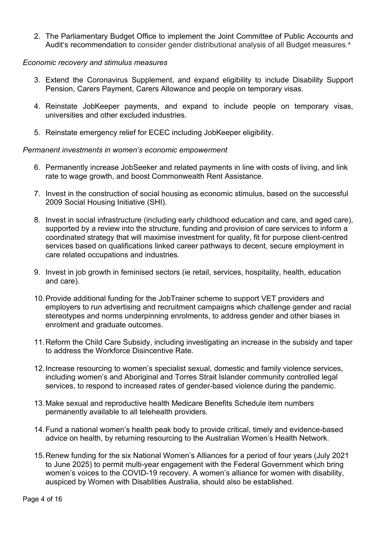2. The Parliamentary Budget Office to implement the Joint Committee of Public Accounts and Audit's recommendation to consider gender distributional analysis of all Budget measures.<sup>[x](#page-14-6)</sup>

#### *Economic recovery and stimulus measures*

- 3. Extend the Coronavirus Supplement, and expand eligibility to include Disability Support Pension, Carers Payment, Carers Allowance and people on temporary visas.
- 4. Reinstate JobKeeper payments, and expand to include people on temporary visas, universities and other excluded industries.
- 5. Reinstate emergency relief for ECEC including JobKeeper eligibility.

#### *Permanent investments in women's economic empowerment*

- 6. Permanently increase JobSeeker and related payments in line with costs of living, and link rate to wage growth, and boost Commonwealth Rent Assistance.
- 7. Invest in the construction of social housing as economic stimulus, based on the successful 2009 Social Housing Initiative (SHI).
- 8. Invest in social infrastructure (including early childhood education and care, and aged care), supported by a review into the structure, funding and provision of care services to inform a coordinated strategy that will maximise investment for quality, fit for purpose client-centred services based on qualifications linked career pathways to decent, secure employment in care related occupations and industries.
- 9. Invest in job growth in feminised sectors (ie retail, services, hospitality, health, education and care).
- 10.Provide additional funding for the JobTrainer scheme to support VET providers and employers to run advertising and recruitment campaigns which challenge gender and racial stereotypes and norms underpinning enrolments, to address gender and other biases in enrolment and graduate outcomes.
- 11.Reform the Child Care Subsidy, including investigating an increase in the subsidy and taper to address the Workforce Disincentive Rate.
- 12.Increase resourcing to women's specialist sexual, domestic and family violence services, including women's and Aboriginal and Torres Strait Islander community controlled legal services, to respond to increased rates of gender-based violence during the pandemic.
- 13.Make sexual and reproductive health Medicare Benefits Schedule item numbers permanently available to all telehealth providers.
- 14.Fund a national women's health peak body to provide critical, timely and evidence-based advice on health, by returning resourcing to the Australian Women's Health Network.
- 15.Renew funding for the six National Women's Alliances for a period of four years (July 2021 to June 2025) to permit multi-year engagement with the Federal Government which bring women's voices to the COVID-19 recovery. A women's alliance for women with disability, auspiced by Women with Disablities Australia, should also be established.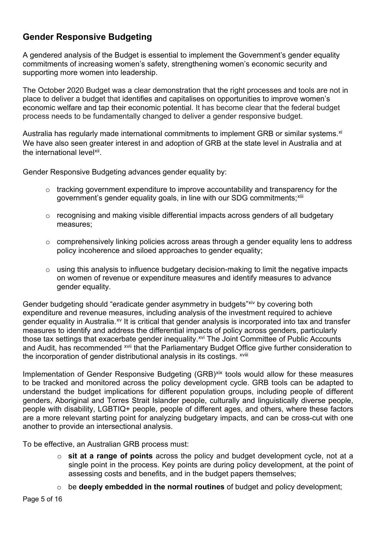# **Gender Responsive Budgeting**

A gendered analysis of the Budget is essential to implement the Government's gender equality commitments of increasing women's safety, strengthening women's economic security and supporting more women into leadership.

The October 2020 Budget was a clear demonstration that the right processes and tools are not in place to deliver a budget that identifies and capitalises on opportunities to improve women's economic welfare and tap their economic potential. It has become clear that the federal budget process needs to be fundamentally changed to deliver a gender responsive budget.

Australia has regularly made international commitments to implement GRB or similar systems.<sup>[xi](#page-14-7)</sup> We have also seen greater interest in and adoption of GRB at the state level in Australia and at the international level<sup>xii</sup>.

Gender Responsive Budgeting advances gender equality by:

- o tracking government expenditure to improve accountability and transparency for the government's gender equality goals, in line with our SDG commitments; Xili
- o recognising and making visible differential impacts across genders of all budgetary measures;
- o comprehensively linking policies across areas through a gender equality lens to address policy incoherence and siloed approaches to gender equality;
- o using this analysis to influence budgetary decision-making to limit the negative impacts on women of revenue or expenditure measures and identify measures to advance gender equality.

Gender budgeting should "eradicate gender asymmetry in budgets" [xiv](#page-14-10) by covering both the incorporation of gender distributional analysis in its costings. <sup>xviii</sup> expenditure and revenue measures, including analysis of the investment required to achieve gender equality in Australia.<sup>[xv](#page-14-11)</sup> It is critical that gender analysis is incorporated into tax and transfer measures to identify and address the differential impacts of policy across genders, particularly those tax settings that exacerbate gender inequality.<sup>[xvi](#page-14-12)</sup> The Joint Committee of Public Accounts and Audit, has recommended <sup>[xvii](#page-14-13)</sup> that the Parliamentary Budget Offi[c](#page-14-14)e give further consideration to

Implementation of Gender Responsive Budgeting (GRB)<sup>[xix](#page-14-15)</sup> tools would allow for these measures to be tracked and monitored across the policy development cycle. GRB tools can be adapted to understand the budget implications for different population groups, including people of different genders, Aboriginal and Torres Strait Islander people, culturally and linguistically diverse people, people with disability, LGBTIQ+ people, people of different ages, and others, where these factors are a more relevant starting point for analyzing budgetary impacts, and can be cross-cut with one another to provide an intersectional analysis.

To be effective, an Australian GRB process must:

- o **sit at a range of points** across the policy and budget development cycle, not at a single point in the process. Key points are during policy development, at the point of assessing costs and benefits, and in the budget papers themselves;
- o be **deeply embedded in the normal routines** of budget and policy development;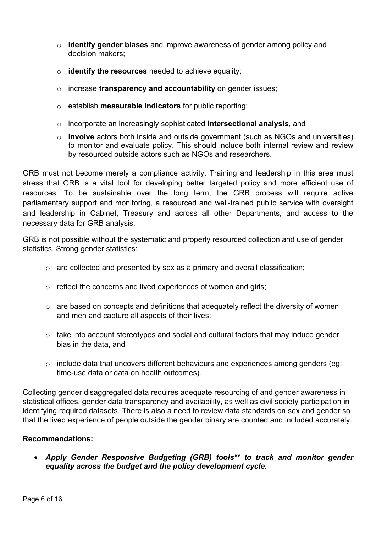- o **identify gender biases** and improve awareness of gender among policy and decision makers;
- o **identify the resources** needed to achieve equality;
- o increase **transparency and accountability** on gender issues;
- o establish **measurable indicators** for public reporting;
- o incorporate an increasingly sophisticated **intersectional analysis**, and
- o **involve** actors both inside and outside government (such as NGOs and universities) to monitor and evaluate policy. This should include both internal review and review by resourced outside actors such as NGOs and researchers.

GRB must not become merely a compliance activity. Training and leadership in this area must stress that GRB is a vital tool for developing better targeted policy and more efficient use of resources. To be sustainable over the long term, the GRB process will require active parliamentary support and monitoring, a resourced and well-trained public service with oversight and leadership in Cabinet, Treasury and across all other Departments, and access to the necessary data for GRB analysis.

GRB is not possible without the systematic and properly resourced collection and use of gender statistics. Strong gender statistics:

- o are collected and presented by sex as a primary and overall classification;
- o reflect the concerns and lived experiences of women and girls;
- $\circ$  are based on concepts and definitions that adequately reflect the diversity of women and men and capture all aspects of their lives;
- o take into account stereotypes and social and cultural factors that may induce gender bias in the data, and
- o include data that uncovers different behaviours and experiences among genders (eg: time-use data or data on health outcomes).

Collecting gender disaggregated data requires adequate resourcing of and gender awareness in statistical offices, gender data transparency and availability, as well as civil society participation in identifying required datasets. There is also a need to review data standards on sex and gender so that the lived experience of people outside the gender binary are counted and included accurately.

#### **Recommendations:**

• *Apply Gender Responsive Budgeting (GRB) tools[xx](#page-14-16) to track and monitor gender equality across the budget and the policy development cycle.*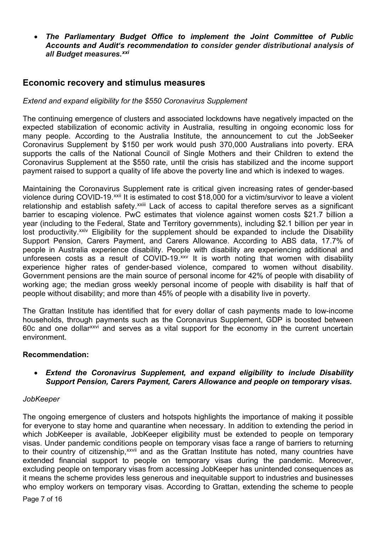• *The Parliamentary Budget Office to implement the Joint Committee of Public Accounts and Audit's recommendation to consider gender distributional analysis of all Budget measures.[xxi](#page-14-17)*

### **Economic recovery and stimulus measures**

#### *Extend and expand eligibility for the \$550 Coronavirus Supplement*

The continuing emergence of clusters and associated lockdowns have negatively impacted on the expected stabilization of economic activity in Australia, resulting in ongoing economic loss for many people. According to the Australia Institute, the announcement to cut the JobSeeker Coronavirus Supplement by \$150 per work would push 370,000 Australians into poverty. ERA supports the calls of the National Council of Single Mothers and their Children to extend the Coronavirus Supplement at the \$550 rate, until the crisis has stabilized and the income support payment raised to support a quality of life above the poverty line and which is indexed to wages.

Maintaining the Coronavirus Supplement rate is critical given increasing rates of gender-based violence during COVID-19.<sup>[xxii](#page-14-18)</sup> I[t](#page-14-19) is estimated to cost \$18,000 for a victim/survivor to leave a violent relationship and establish safety.<sup>xxiii</sup> Lack of access to capital therefore serves as a significant barrier to escaping violence. PwC estimates that violence against women costs \$21.7 billion a year (including to the Federal, State and Territory governments), including \$2.1 billion per year in lost productivity.<sup>[xxiv](#page-14-20)</sup> Eligibility for the supplement should be expanded to include the Disability Support Pension, Carers Payment, and Carers Allowance. According to ABS data, 17.7% of people in Australia experience disability. People with disability are experiencing additional and unforeseen costs as a result of COVID-19.<sup>[xxv](#page-14-21)</sup> It is worth noting that women with disability experience higher rates of gender-based violence, compared to women without disability. Government pensions are the main source of personal income for 42% of people with disability of working age; the median gross weekly personal income of people with disability is half that of people without disability; and more than 45% of people with a disability live in poverty.

The Grattan Institute has identified that for every dollar of cash payments made to low-income households, through payments such as the Coronavirus Supplement, GDP is boosted between 60c and one dolla[rxxvi](#page-14-22) and serves as a vital support for the economy in the current uncertain environment.

#### **Recommendation:**

• *Extend the Coronavirus Supplement, and expand eligibility to include Disability Support Pension, Carers Payment, Carers Allowance and people on temporary visas.*

#### *JobKeeper*

The ongoing emergence of clusters and hotspots highlights the importance of making it possible for everyone to stay home and quarantine when necessary. In addition to extending the period in which JobKeeper is available, JobKeeper eligibility must be extended to people on temporary visas. Under pandemic conditions people on temporary visas face a range of barriers to returning to the[i](#page-14-23)r country of citizenship,<sup>xxvii</sup> and as the Grattan Institute has noted, many countries have extended financial support to people on temporary visas during the pandemic. Moreover, excluding people on temporary visas from accessing JobKeeper has unintended consequences as it means the scheme provides less generous and inequitable support to industries and businesses who employ workers on temporary visas. According to Grattan, extending the scheme to people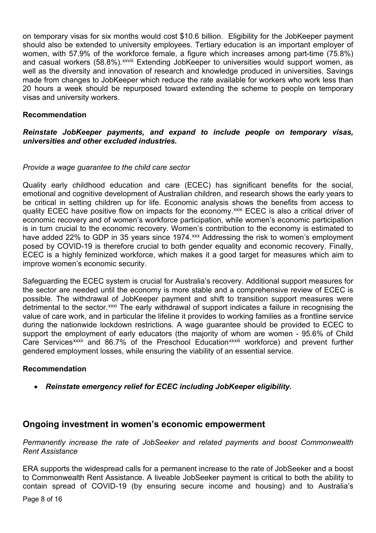on temporary visas for six months would cost \$10.6 billion. Eligibility for the JobKeeper payment should also be extended to university employees. Tertiary education is an important employer of women, with 57.9% of the work[fo](#page-14-24)rce female, a figure which increases among part-time (75.8%) and casual workers (58.8%). xxviii Extending JobKeeper to universities would support women, as well as the diversity and innovation of research and knowledge produced in universities. Savings made from changes to JobKeeper which reduce the rate available for workers who work less than 20 hours a week should be repurposed toward extending the scheme to people on temporary visas and university workers.

#### **Recommendation**

#### *Reinstate JobKeeper payments, and expand to include people on temporary visas, universities and other excluded industries.*

#### *Provide a wage guarantee to the child care sector*

Quality early childhood education and care (ECEC) has significant benefits for the social, emotional and cognitive development of Australian children, and research shows the early years to be critical in setting children up for life. Economic analysis shows the benefits from access to quality ECEC have positive flow on impacts for the economy.<sup>[xxix](#page-14-25)</sup> ECEC is also a critical driver of economic recovery and of women's workforce participation, while women's economic participation is in turn crucial to the economic recovery. Women's contribution to the economy is estimated to have added 22% to GDP in 35 years since 1974.<sup>[xxx](#page-14-26)</sup> Addressing the risk to women's employment posed by COVID-19 is therefore crucial to both gender equality and economic recovery. Finally, ECEC is a highly feminized workforce, which makes it a good target for measures which aim to improve women's economic security.

Safeguarding the ECEC system is crucial for Australia's recovery. Additional support measures for the sector are needed until the economy is more stable and a comprehensive review of ECEC is possible. The withdrawal of JobKeeper payment and shift to transition support measures were detrimental to the sector.<sup>[xxxi](#page-14-27)</sup> The early withdrawal of support indicates a failure in recognising the Care Services<sup>xxxii</sup> and 86.7% of the Preschool Education<sup>xxxiii</sup> workforce) and prevent further value of care work, and in particular the lifeline it provides to working families as a frontline service during the nationwide lockdown restrictions. A wage guarantee should be provided to ECEC to support the empl[o](#page-14-28)yment of early educators (the majority of w[ho](#page-14-29)m are women - 95.6% of Child gendered employment losses, while ensuring the viability of an essential service.

#### **Recommendation**

• *Reinstate emergency relief for ECEC including JobKeeper eligibility.*

#### **Ongoing investment in women's economic empowerment**

*Permanently increase the rate of JobSeeker and related payments and boost Commonwealth Rent Assistance* 

ERA supports the widespread calls for a permanent increase to the rate of JobSeeker and a boost to Commonwealth Rent Assistance. A liveable JobSeeker payment is critical to both the ability to contain spread of COVID-19 (by ensuring secure income and housing) and to Australia's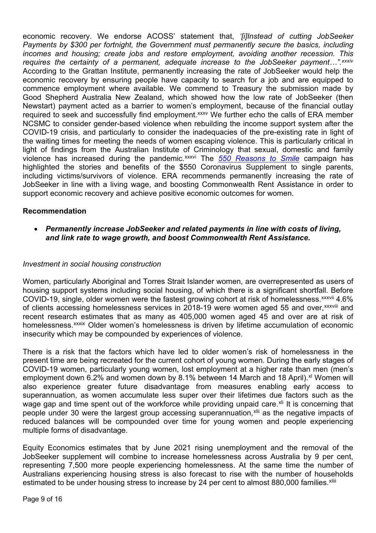economic recovery. We endorse ACOSS' statement that, *'[i]Instead of cutting JobSeeker Payments by \$300 per fortnight, the Government must permanently secure the basics, including incomes and housing; create jobs and restore employment, avoiding another recession. Thi[s](#page-14-30)  requires the certainty of a permanent, adequate increase to the JobSeeker payment…".xxxiv* violence has increased during the pandemic.<sup>xxxvi</sup> The <u>[550 Reasons to Smile](https://www.550reasonstosmile.com/)</u> campaign has According to the Grattan Institute, permanently increasing the rate of JobSeeker would help the economic recovery by ensuring people have capacity to search for a job and are equipped to commence employment where available. We commend to Treasury the submission made by Good Shepherd Australia New Zealand, which showed how the low rate of JobSeeker (then Newstart) payment acted as a barrier to women's employment, because of the financial outlay required to seek and successfully find employment.<sup>[xxxv](#page-14-31)</sup> We further echo the calls of ERA member NCSMC to consider gender-based violence when rebuilding the income support system after the COVID-19 crisis, and particularly to consider the inadequacies of the pre-existing rate in light of the waiting times for meeting the needs of women escaping violence. This is particularly critical in light of findings from the Australian Institute of [C](#page-14-32)riminology that sexual, domestic and family highlighted the stories and benefits of the \$550 Coronavirus Supplement to single parents, including victims/survivors of violence. ERA recommends permanently increasing the rate of JobSeeker in line with a living wage, and boosting Commonwealth Rent Assistance in order to support economic recovery and achieve positive economic outcomes for women.

#### **Recommendation**

• *Permanently increase JobSeeker and related payments in line with costs of living, and link rate to wage growth, and boost Commonwealth Rent Assistance.*

#### *Investment in social housing construction*

Women, particularly Aboriginal and Torres Strait Islander women, are overrepresented as users of housing support systems including social housing, of which there is a significant shortfall. [Be](#page-14-33)fore COVID-19, single, older women were the fastest growing cohort at risk of homelessness.<sup>xxxvii</sup> [4](#page-14-34).6% of clients accessing homelessness services in 2018-19 were women aged 55 and over,<sup>xxxviii</sup> and homelessness.<sup>xxxix</sup> Older women's homelessness is driven by lifetime accumulation of economic recent research e[s](#page-14-35)timates that as many as 405,000 women aged 45 and over are at risk of insecurity which may be compounded by experiences of violence.

There is a risk that the factors which have led to older women's risk of homelessness in the present time are being recreated for the current cohort of young women. During the early stages of COVID-19 women, particularly young women, lost employment at a higher rate than men (men's employment down 6.2% and women down by 8.1% between 14 March and 18 April).<sup>[xl](#page-14-36)</sup> Women will also experience greater future disadvantage from measures enabling early access to superannuation, as women accumulate less super over their lifetimes due factors such as the wage gap and time spent out of the workforce while providing unpaid care.<sup>[xli](#page-15-0)</sup> It is concerning that people under 30 were the largest group accessing superannuation,<sup>[xlii](#page-15-1)</sup> as the negative impacts of reduced balances will be compounded over time for young women and people experiencing multiple forms of disadvantage.

Equity Economics estimates that by June 2021 rising unemployment and the removal of the JobSeeker supplement will combine to increase homelessness across Australia by 9 per cent, representing 7,500 more people experiencing homelessness. At the same time the number of Australians experiencing housing stress is also forecast to rise with the number of house[h](#page-15-2)olds estimated to be under housing stress to increase by 24 per cent to almost 880,000 families. Xliii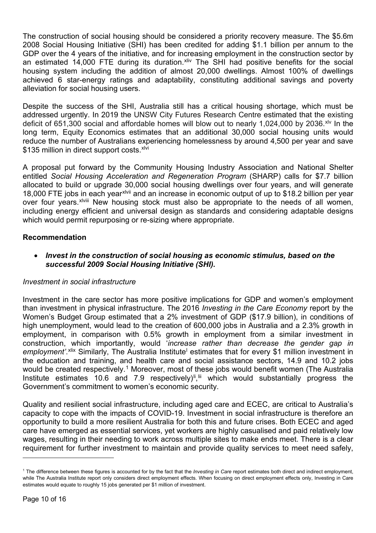The construction of social housing should be considered a priority recovery measure. The \$5.6m 2008 Social Housing Initiative (SHI) has been credited for adding \$1.1 billion per annum to the GDP over the 4 years of the initiative, and for increasing employment in the construction sector by an estimated 14,000 FTE during its duration. Xiiv The SHI had positive benefits for the social housing system including the addition of almost 20,000 dwellings. Almost 100% of dwellings achieved 6 star-energy ratings and adaptability, constituting additional savings and poverty alleviation for social housing users.

Despite the success of the SHI, Australia still has a critical housing shortage, which must be addressed urgently. In 2019 the UNSW City Futures Research Centre estimated that the existing deficit of 651,300 social and affordable homes will blow out to nearly 1,024,000 by 2036.<sup>xl∨</sup> In the long term, Equity Economics estimates that an additional 30,000 social housing units would reduce the number of Australians experiencing homelessness by around 4,500 per year and save \$135 million in direct support costs. [xlvi](#page-15-5)

A proposal put forward by the Community Housing Industry Association and National Shelter entitled *Social Housing Acceleration and Regeneration Program* (SHARP) calls for \$7.7 billion allocated to build or upgrade 3[0,](#page-15-6)000 social housing dwellings over four years, and will generate 18,000 FTE jobs in [e](#page-15-7)ach year<sup>xivii</sup> and an increase in economic output of up to \$18.2 billion per year over four years.<sup>xlviii</sup> New housing stock must also be appropriate to the needs of all women, including energy efficient and universal design as standards and considering adaptable designs which would permit repurposing or re-sizing where appropriate.

#### **Recommendation**

• *Invest in the construction of social housing as economic stimulus, based on the successful 2009 Social Housing Initiative (SHI).*

#### *Investment in social infrastructure*

Investment in the care sector has more positive implications for GDP and women's employment than investment in physical infrastructure. The 2016 *Investing in the Care Economy* report by the Women's Budget Group estimated that a 2% investment of GDP (\$17.9 billion), in conditions of high unemployment, would lead to the creation of 600,000 jobs in Australia and a 2.3% growth in employment, in comparison with 0.5% growth in employment from a similar investment in construction, which importantly, would '*increase rather than decrease the gender gap in emp[l](#page-15-9)oyment'*.<sup>xiix</sup> Similarly, The Australia Institute<sup>l</sup> estimates that for every \$1 million investment in the education and training, and health care and social assistance sectors, 14.9 and 10.2 jobs would be created respectively.<sup>[1](#page-9-0)</sup> Moreover, most of these jobs would benefit women (The Australia Institute estimates 10.6 and 7.9 respectively)<sup>ii, ii</sup> which would substantially progress the Government's commitment to women's economic security.

Quality and resilient social infrastructure, including aged care and ECEC, are critical to Australia's capacity to cope with the impacts of COVID-19. Investment in social infrastructure is therefore an opportunity to build a more resilient Australia for both this and future crises. Both ECEC and aged care have emerged as essential services, yet workers are highly casualised and paid relatively low wages, resulting in their needing to work across multiple sites to make ends meet. There is a clear requirement for further investment to maintain and provide quality services to meet need safely,

<span id="page-9-0"></span><sup>&</sup>lt;sup>1</sup> The difference between these figures is accounted for by the fact that the *Investing in Care* report estimates both direct and indirect employment, while The Australia Institute report only considers direct employment effects. When focusing on direct employment effects only, Investing in Care estimates would equate to roughly 15 jobs generated per \$1 million of investment.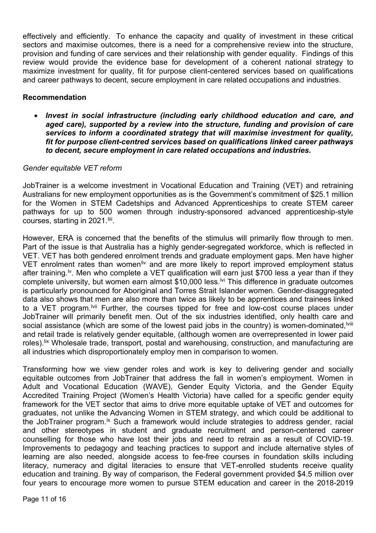effectively and efficiently. To enhance the capacity and quality of investment in these critical sectors and maximise outcomes, there is a need for a comprehensive review into the structure, provision and funding of care services and their relationship with gender equality. Findings of this review would provide the evidence base for development of a coherent national strategy to maximize investment for quality, fit for purpose client-centered services based on qualifications and career pathways to decent, secure employment in care related occupations and industries.

#### **Recommendation**

• *Invest in social infrastructure (including early childhood education and care, and aged care), supported by a review into the structure, funding and provision of care services to inform a coordinated strategy that will maximise investment for quality, fit for purpose client-centred services based on qualifications linked career pathways to decent, secure employment in care related occupations and industries.*

#### *Gender equitable VET reform*

JobTrainer is a welcome investment in Vocational Education and Training (VET) and retraining Australians for new employment opportunities as is the Government's commitment of \$25.1 million for the Women in STEM Cadetships and Advanced Apprenticeships to create STEM career pathways for up to 500 women through industry-sponsored advanced apprenticeship-style courses, starting in 2021.<sup>Iiii</sup>.

However, ERA is concerned that the benefits of the stimulus will primarily flow through to men. Part of the issue is that Australia has a highly gender-segregated workforce, which is reflected in VET. VET has both gendered enrolment trends and graduate employment gaps. Men have higher VET enrolment rates than women<sup>[liv](#page-15-13)</sup> and are more likely to report improved employment status social assistance (which are some of the lowest paid jobs in the country) is women-dominated,<sup>lviii</sup> after training.<sup>[lv](#page-15-14)</sup>. Men who complete a VET qualification will earn just \$700 less a year than if they complete university, but women earn almost \$10,000 less.<sup>[lvi](#page-15-15)</sup> This difference in graduate outcomes is particularly pronounced for Aboriginal and Torres Strait Islander women. Gender-disaggregated data also shows that men are also more than twice as likely to be apprentices and trainees linked to a VET program.<sup>Ivii</sup> Further, the courses tipped for free and low-cost course places under JobTrainer will primarily benefit men. Out of the six industries identified, only health care an[d](#page-15-17)  and retail trade is relatively gender equitable, (although women are overrepresented in lower paid roles).<sup>[lix](#page-15-18)</sup> Wholesale trade, transport, postal and warehousing, construction, and manufacturing are all industries which disproportionately employ men in comparison to women.

Transforming how we view gender roles and work is key to delivering gender and socially equitable outcomes from JobTrainer that address the fall in women's employment. Women in Adult and Vocational Education (WAVE), Gender Equity Victoria, and the Gender Equity Accredited Training Project (Women's Health Victoria) have called for a specific gender equity framework for the VET sector that aims to drive more equitable uptake of VET and outcomes for graduates, not unlike the Advancing Women in STEM strategy, and which could be additional to the JobTrainer program.<sup>Ix</sup> Such a framework would include strategies to address gender, racial and other stereotypes in student and graduate recruitment and person-centered career counselling for those who have lost their jobs and need to retrain as a result of COVID-19. Improvements to pedagogy and teaching practices to support and include alternative styles of learning are also needed, alongside access to fee-free courses in foundation skills including literacy, numeracy and digital literacies to ensure that VET-enrolled students receive quality education and training. By way of comparison, the Federal government provided \$4.5 million over four years to encourage more women to pursue STEM education and career in the 2018-2019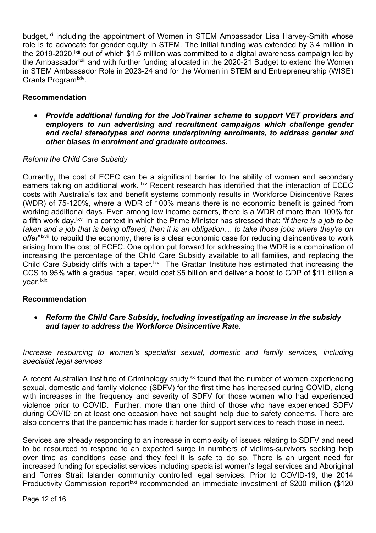budget,<sup>[lxi](#page-15-20)</sup> including the appointment of Women in STEM Ambassador Lisa Harvey-Smith whose the Ambassador<sup>ixiii</sup> and with further funding allocated in the 2020-21 Budget to extend the Women role is to advocate for gender equity in STEM. The initial funding was extended by 3.4 million in the 2019-2020, <sup> $|x|$ </sup> [ou](#page-15-22)t of which \$1.5 million was committed to a digital awareness campaign led by in STEM Ambassador Role in 2023-24 and for the Women in STEM and Entrepreneurship (WISE) Grants Program<sup>lxiv</sup>.

#### **Recommendation**

• *Provide additional funding for the JobTrainer scheme to support VET providers and employers to run advertising and recruitment campaigns which challenge gender and racial stereotypes and norms underpinning enrolments, to address gender and other biases in enrolment and graduate outcomes.*

#### *Reform the Child Care Subsidy*

Currently, the cost of ECEC can be a significant barrier to the ability of women and secondary earners taking on additional work.  $\stackrel{\text{ixv}}{\sim}$  Recent research has identified that the interaction of ECEC *offer*" <sup>xvii</sup> to rebuild the economy, there is a clear economic case for reducing disincentives to work Child Care Subsidy cliffs with a taper.<sup>Ixviii</sup> The Grattan Institute has estimated that increasing the costs with Australia's tax and benefit systems commonly results in Workforce Disincentive Rates (WDR) of 75-120%, where a WDR of 100% means there is no economic benefit is gained from working additional days. Even among low income earners, there is a WDR of more than 100% for a fifth work day.[lxvi](#page-15-25) In a context in which the Prime Minister has stressed that: *"if there is a job to be taken a[n](#page-15-26)d a job that is being offered, then it is an obligation… to take those jobs where they're on*  arising from the cost of ECEC. One option put forward for addressing the WDR is a combination of increasing the percentage of the Child [Ca](#page-15-27)re Subsidy available to all families, and replacing the CCS to 95% with a gradual taper, would cost \$5 billion and deliver a boost to GDP of \$11 billion a vear. Ixix

#### **Recommendation**

• *Reform the Child Care Subsidy, including investigating an increase in the subsidy and taper to address the Workforce Disincentive Rate.*

*Increase resourcing to women's specialist sexual, domestic and family services, including specialist legal services*

A recent Australian Institute of Criminology study<sup>1xx</sup> found that the number of women experiencing sexual, domestic and family violence (SDFV) for the first time has increased during COVID, along with increases in the frequency and severity of SDFV for those women who had experienced violence prior to COVID. Further, more than one third of those who have experienced SDFV during COVID on at least one occasion have not sought help due to safety concerns. There are also concerns that the pandemic has made it harder for support services to reach those in need.

Services are already responding to an increase in complexity of issues relating to SDFV and need to be resourced to respond to an expected surge in numbers of victims-survivors seeking help over time as conditions ease and they feel it is safe to do so. There is an urgent need for increased funding for specialist services including specialist women's legal services and Aboriginal and Torres Strait Islander community controlled legal services. Prior to COVID-19, the 2014 Productivity Commission report<sup>txxi</sup> recommended an immediate investment of \$200 million (\$120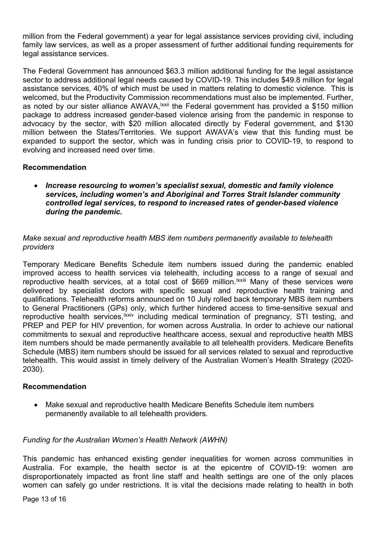million from the Federal government) a year for legal assistance services providing civil, including family law services, as well as a proper assessment of further additional funding requirements for legal assistance services.

The Federal Government has announced \$63.3 million additional funding for the legal assistance sector to address additional legal needs caused by COVID-19. This includes \$49.8 million for legal assistance services, 40% of which must be used in matters relating to domestic violence. This is welcomed, but the Productivity Commissio[n](#page-15-31) recommendations must also be implemented. Further, as noted by our sister alliance AWAVA, <sup>Ixxii</sup> the Federal government has provided a \$150 million package to address increased gender-based violence arising from the pandemic in response to advocacy by the sector, with \$20 million allocated directly by Federal government, and \$130 million between the States/Territories. We support AWAVA's view that this funding must be expanded to support the sector, which was in funding crisis prior to COVID-19, to respond to evolving and increased need over time.

#### **Recommendation**

• *Increase resourcing to women's specialist sexual, domestic and family violence services, including women's and Aboriginal and Torres Strait Islander community controlled legal services, to respond to increased rates of gender-based violence during the pandemic.*

#### *Make sexual and reproductive health MBS item numbers permanently available to telehealth providers*

Temporary Medicare Benefits Schedule item numbers issued during the pandemic enabled improved access to health services via telehealth, including ac[c](#page-15-32)ess to a range of sexual and reproductive health services, at a total cost of \$669 million.<sup>Ixxiii</sup> Many of these services were delivered by specialist doctors with specific sexual and reproductive health training and qualifications. Telehealth reforms [announced on](https://aus01.safelinks.protection.outlook.com/?url=https%3A%2F%2Fwww.health.gov.au%2Fministers%2Fthe-hon-greg-hunt-mp%2Fmedia%2Fcontinuous-care-with-telehealth-stage-seven&data=02%7C01%7C%7C8feb07cc41f64f24db3208d843f407c2%7C19f8b65eff1a401687bcd17a9252176f%7C0%7C0%7C637334062722880920&sdata=iRW%2FAlqne4y1B%2FzS6nK02G1uorJObMmm%2FH9ymEV3gQc%3D&reserved=0) 10 July rolled back temporary MBS item numbers to General Practitioners (GPs) [on](#page-15-33)ly, which further hindered access to time-sensitive sexual and reproductive health services, <sup>txxiv</sup> including medical termination of pregnancy, STI testing, and PREP and PEP for HIV prevention, for women across Australia. In order to achieve our national commitments to sexual and reproductive healthcare access, sexual and reproductive health MBS item numbers should be made permanently available to all telehealth providers. Medicare Benefits Schedule (MBS) item numbers should be issued for all services related to sexual and reproductive telehealth. This would assist in timely delivery of the Australian Women's Health Strategy (2020- 2030).

#### **Recommendation**

• Make sexual and reproductive health Medicare Benefits Schedule item numbers permanently available to all telehealth providers.

#### *Funding for the Australian Women's Health Network (AWHN)*

This pandemic has enhanced existing gender inequalities for women across communities in Australia. For example, the health sector is at the epicentre of COVID-19: women are disproportionately impacted as front line staff and health settings are one of the only places women can safely go under restrictions. It is vital the decisions made relating to health in both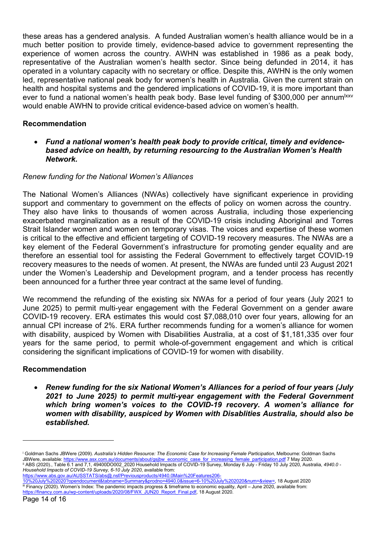these areas has a gendered analysis. A funded Australian women's health alliance would be in a much better position to provide timely, evidence-based advice to government representing the experience of women across the country. AWHN was established in 1986 as a peak body, representative of the Australian women's health sector. Since being defunded in 2014, it has operated in a voluntary capacity with no secretary or office. Despite this, AWHN is the only women led, representative national peak body for women's health in Australia. Given the current strain on health and hospital systems and the gendered implications of COVID-19, it is more important than ever to fund a national women's health peak body. Base level funding of \$300,000 per annum<sup>1xxv</sup> would enable AWHN to provide critical evidence-based advice on women's health.

#### **Recommendation**

• *Fund a national women's health peak body to provide critical, timely and evidencebased advice on health, by returning resourcing to the Australian Women's Health Network.*

#### *Renew funding for the National Women's Alliances*

The National Women's Alliances (NWAs) collectively have significant experience in providing support and commentary to government on the effects of policy on women across the country. They also have links to thousands of women across Australia, including those experiencing exacerbated marginalization as a result of the COVID-19 crisis including Aboriginal and Torres Strait Islander women and women on temporary visas. The voices and expertise of these women is critical to the effective and efficient targeting of COVID-19 recovery measures. The NWAs are a key element of the Federal Government's infrastructure for promoting gender equality and are therefore an essential tool for assisting the Federal Government to effectively target COVID-19 recovery measures to the needs of women. At present, the NWAs are funded until 23 August 2021 under the Women's Leadership and Development program, and a tender process has recently been announced for a further three year contract at the same level of funding.

We recommend the refunding of the existing six NWAs for a period of four years (July 2021 to June 2025) to permit multi-year engagement with the Federal Government on a gender aware COVID-19 recovery. ERA estimates this would cost \$7,088,010 over four years, allowing for an annual CPI increase of 2%. ERA further recommends funding for a women's alliance for women with disability, auspiced by Women with Disabilities Australia, at a cost of \$1,181,335 over four years for the same period, to permit whole-of-government engagement and which is critical considering the significant implications of COVID-19 for women with disability.

#### **Recommendation**

• *Renew funding for the six National Women's Alliances for a period of four years (July 2021 to June 2025) to permit multi-year engagement with the Federal Government which bring women's voices to the COVID-19 recovery. A women's alliance for women with disability, auspiced by Women with Disablities Australia, should also be established.*

<span id="page-13-0"></span><sup>i</sup> Goldman Sachs JBWere (2009). *Australia's Hidden Resource: The Economic Case for Increasing Female Participation*, Melbourne: Goldman Sachs JBWere, available[: https://www.asx.com.au/documents/about/gsjbw\\_economic\\_case\\_for\\_increasing\\_female\\_participation.pdf](https://www.asx.com.au/documents/about/gsjbw_economic_case_for_increasing_female_participation.pdf) 7 May 2020. ii ABS (2020)., Table 6.1 and 7,1, 49400DO002\_2020 Household Impacts of COVID-19 Survey, Monday 6 July - Friday 10 July 2020, Australia, *4940.0 -*

<span id="page-13-1"></span>*Household Impacts of COVID-19 Survey, 6-10 July 2020*, available from:

<span id="page-13-2"></span>[https://www.abs.gov.au/AUSSTATS/abs@.nsf/Previousproducts/4940.0Main%20Features206-](https://www.abs.gov.au/AUSSTATS/abs@.nsf/Previousproducts/4940.0Main%20Features206-10%20July%202020?opendocument&tabname=Summary&prodno=4940.0&issue=6-10%20July%202020&num=&view=) [10%20July%202020?opendocument&tabname=Summary&prodno=4940.0&issue=6-10%20July%202020&num=&view=,](https://www.abs.gov.au/AUSSTATS/abs@.nsf/Previousproducts/4940.0Main%20Features206-10%20July%202020?opendocument&tabname=Summary&prodno=4940.0&issue=6-10%20July%202020&num=&view=) 18 August 2020 iii Financy (2020). Women's Index: The pandemic impacts progress & timeframe to economic equality, April – June 2020, available from: [https://financy.com.au/wp-content/uploads/2020/08/FWX\\_JUN20\\_Report\\_Final.pdf,](https://financy.com.au/wp-content/uploads/2020/08/FWX_JUN20_Report_Final.pdf) 18 August 2020.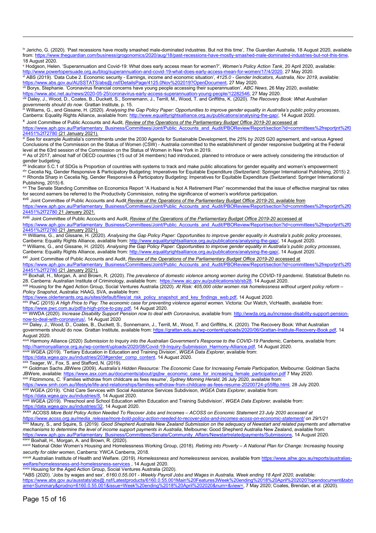<span id="page-14-0"></span><sup>iv</sup> Jericho, G. (2020). 'Past recessions have mostly smashed male-dominated industries. But not this time', *The Guardian Australia*, 18 August 2020, available from: https://www.thequardian.com/business/grogonomics/2020/a from[: https://www.theguardian.com/business/grogonomics/2020/aug/18/past-recessions-have-mostly-smashed-male-dominated-industries-but-not-this-time,](https://www.theguardian.com/business/grogonomics/2020/aug/18/past-recessions-have-mostly-smashed-male-dominated-industries-but-not-this-time)  18 August 2020.

<span id="page-14-2"></span><span id="page-14-1"></span><sup>v</sup> Hodgson, Helen. 'Superannuation and Covid-19: What does early access mean for women?', *Women's Policy Action Tank*, 20 April 2020, available: [http://www.powertopersuade.org.au/blog/superannuation-and-covid-19-what-does-early-access-mean-for-women/17/4/2020,](http://www.powertopersuade.org.au/blog/superannuation-and-covid-19-what-does-early-access-mean-for-women/17/4/2020) 27 May 2020.<br>vi ABS (2019). 'Data Cube 2. Economic security - Earnings, income and economic situation', 41 [https://www.abs.gov.au/AUSSTATS/abs@.nsf/DetailsPage/4125.0Nov%202019?OpenDocument,](https://www.abs.gov.au/AUSSTATS/abs@.nsf/DetailsPage/4125.0Nov%202019?OpenDocument) 27 May 2020.

vii Borys, Stephanie. 'Coronavirus financial concerns have young people accessing their superannuation', *ABC News*, 26 May 2020, available:

<span id="page-14-4"></span><span id="page-14-3"></span>[https://www.abc.net.au/news/2020-05-25/coronavirus-early-access-superannuation-young-people/12282546,](https://www.abc.net.au/news/2020-05-25/coronavirus-early-access-superannuation-young-people/12282546) 27 May 2020.<br>Will Daley, J., Wood, D., Coates, B., Duckett, S., Sonnemann, J., Terrill, M., Wood, T. and Griffiths, K. ( varion in this should do now. Grattan Institute, p. 15.<br>governments should do now. Grattan Institute, p. 15.<br>Williams, G., and Gissane, H. (2020). *Analysing the Gap Policy Paper: Opportunities to improve gender equality i* 

<span id="page-14-5"></span>Canberra: Equality Rights Alliance, available from: [http://www.equalityrightsalliance.org.au/publications/analysing-the-gap/,](http://www.equalityrightsalliance.org.au/publications/analysing-the-gap/) 14 August 2020.

<span id="page-14-6"></span><sup>x</sup> Joint Committee of Public Accounts and Audit, *Review of the Operations of the Parliamentary Budget Office 2019-20* accessed at

[https://www.aph.gov.au/Parliamentary\\_Business/Committees/Joint/Public\\_Accounts\\_and\\_Audit/PBOReview/Report/section?id=committees%2freportjnt%2f0](https://www.aph.gov.au/Parliamentary_Business/Committees/Joint/Public_Accounts_and_Audit/PBOReview/Report/section?id=committees%2freportjnt%2f024451%2f72780)

<span id="page-14-7"></span>2<del>4451%2f72780 [\(](https://www.aph.gov.au/Parliamentary_Business/Committees/Joint/Public_Accounts_and_Audit/PBOReview/Report/section?id=committees%2freportjnt%2f024451%2f72780)21 January 2021).</del><br><sup>xi</sup> See for example Australia's commitments under the 2030 Agenda for Sustainable Development, the 25% *by 2025* G20 agreement, and various Agreed Conclusions of the Commission on the Status of Women (CSW) - Australia committed to the establishment of gender responsive budgeting at the Federal

<span id="page-14-8"></span>level at the 63rd session of the Commission on the Status of Women in New York in 2019.<br><sup>xii</sup> As of 2017, almost half of OECD countries (15 out of 34 members) had introduced, planned to introduce or were actively consideri gender budgeting.

<span id="page-14-10"></span><span id="page-14-9"></span> $^{\text{\tiny{iii}}}$  Indicator 5.C.1 of SDGs is Proportion of countries with systems to track and make public allocations for gender equality and women's empowerment xiv Cecelia Ng, Gender Responsive & Participatory Budgeting: Imperatives for Equitable Expenditure (Switzerland: Springer International Publishing, 2015) 2. xv Rhonda Sharp in Cecelia Ng, Gender Responsive & Participatory Budgeting: Imperatives for Equitable Expenditure (Switzerland: Springer International Publishing, 2015) 6.

<span id="page-14-12"></span><span id="page-14-11"></span>xvi The Senate Standing Committee on Economics Report "A Husband is Not A Retirement Plan" recommended that the issue of effective marginal tax rates for second earners be referred to the Productivity Commission, noting the significance of women's workforce participation.

<span id="page-14-13"></span>xvii Joint Committee of Public Accounts and Audit *Review of the Operations of the Parliamentary Budget Office 2019-20,* available from

[https://www.aph.gov.au/Parliamentary\\_Business/Committees/Joint/Public\\_Accounts\\_and\\_Audit/PBOReview/Report/section?id=committees%2freportjnt%2f0](https://www.aph.gov.au/Parliamentary_Business/Committees/Joint/Public_Accounts_and_Audit/PBOReview/Report/section?id=committees%2freportjnt%2f024451%2f72780) [24451%2f72780](https://www.aph.gov.au/Parliamentary_Business/Committees/Joint/Public_Accounts_and_Audit/PBOReview/Report/section?id=committees%2freportjnt%2f024451%2f72780) 21 January 2021.

<span id="page-14-14"></span>xviii Joint Committee of Public Accounts and Audit, *Review of the Operations of the Parliamentary Budget Office 2019-20* accessed at [https://www.aph.gov.au/Parliamentary\\_Business/Committees/Joint/Public\\_Accounts\\_and\\_Audit/PBOReview/Report/section?id=committees%2freportjnt%2f0](https://www.aph.gov.au/Parliamentary_Business/Committees/Joint/Public_Accounts_and_Audit/PBOReview/Report/section?id=committees%2freportjnt%2f024451%2f72780)

<span id="page-14-15"></span>24451%2f72780 [\(](https://www.aph.gov.au/Parliamentary_Business/Committees/Joint/Public_Accounts_and_Audit/PBOReview/Report/section?id=committees%2freportjnt%2f024451%2f72780)21 January 2021).<br><sup>xix</sup> Williams, G., and Gissane, H. (2020). *Analysing the Gap Policy Paper: Opportunities to improve gender equality in Australia's public policy processes,* Canberra: Equality Rights Alliance, available from: [http://www.equalityrightsalliance.org.au/publications/analysing-the-gap/,](http://www.equalityrightsalliance.org.au/publications/analysing-the-gap/) 14 August 2020.<br><sup>xx</sup> Williams, G., and Gissane, H. (2020). Analysing the Gap Policy Paper: Oppor

<span id="page-14-16"></span>Canberra: Equality Rights Alliance, available from: [http://www.equalityrightsalliance.org.au/publications/analysing-the-gap/,](http://www.equalityrightsalliance.org.au/publications/analysing-the-gap/) 14 August 2020.

<span id="page-14-17"></span>xxi Joint Committee of Public Accounts and Audit, *Review of the Operations of the Parliamentary Budget Office 2019-20* accessed at [https://www.aph.gov.au/Parliamentary\\_Business/Committees/Joint/Public\\_Accounts\\_and\\_Audit/PBOReview/Report/section?id=committees%2freportjnt%2f0](https://www.aph.gov.au/Parliamentary_Business/Committees/Joint/Public_Accounts_and_Audit/PBOReview/Report/section?id=committees%2freportjnt%2f024451%2f72780)

24451%2f72780 [\(](https://www.aph.gov.au/Parliamentary_Business/Committees/Joint/Public_Accounts_and_Audit/PBOReview/Report/section?id=committees%2freportjnt%2f024451%2f72780)21 January 2021). xxii Boxhall, H., Morgan, A. and Brown, R. (2020). *The prevalence of domestic violence among women during the COVID-19 pandemic*. Statistical Bulletin no.

<span id="page-14-18"></span>28. Canberra: Australian Institute of Criminology, available from: https://www.aic.gov.au/publications/sb/sb/28, 14 August 2020.<br>xxiii Housing for the Aged Action Group, Social Ventures Australia (2020). At Risk: 405,000 o

<span id="page-14-19"></span>*Policy Snapshot*, Australia: HAAG, SVA, available from: [https://www.oldertenants.org.au/sites/default/files/at\\_risk\\_policy\\_snapshot\\_and\\_key\\_findings\\_web.pdf,](https://www.oldertenants.org.au/sites/default/files/at_risk_policy_snapshot_and_key_findings_web.pdf) 14 August 2020.

<span id="page-14-20"></span>xxiv PwC (2015) *A High Price to Pay: The economic case for preventing violence against women*. Victoria: Our Watch, VicHealth, available from:

[https://www.pwc.com.au/pdf/a-high-price-to-pay.pdf,](https://www.pwc.com.au/pdf/a-high-price-to-pay.pdf) 14 August 2020.<br>
xxv WWDA (2020). Increase Disability Support Pension now to deal with Coronavirus, available from: http://wwda.org.au/increase-disability-support-pension

<span id="page-14-22"></span><span id="page-14-21"></span><u>now-to-deal-with-coronavirus/</u>, 14 August 2020<br><sup>xxvi</sup> Daley, J., Wood, D., Coates, B., Duckett, S., Sonnemann, J., Terrill, M., Wood, T. and Griffiths, K. (2020). The Recovery Book: What Australian governments should do now. Grattan Institute, available from[: https://grattan.edu.au/wp-content/uploads/2020/06/Grattan-Institute-Recovery-Book.pdf,](https://grattan.edu.au/wp-content/uploads/2020/06/Grattan-Institute-Recovery-Book.pdf) 14 August 2020.

<span id="page-14-23"></span>xxvii Harmony Alliance (2020) Submission to Inquiry into the Australian Government's Response to the COVID-19 Pandemic, Canberra, available from:<br>http://harmonyalliance.org.au/wp-content/uploads/2020/08/Covid-19-Inquiry-Su XVIII WGEA (2019). Tertiary Education in Education and Training Division', WGEA Data Explorer, available from:

<span id="page-14-24"></span>[https://data.wgea.gov.au/industries/203#gender\\_comp\\_content,](https://data.wgea.gov.au/industries/203#gender_comp_content) 14 August 2020.<br>xxix Teager, W., Fox, S. and Stafford, N. (2019).

<span id="page-14-25"></span>

<span id="page-14-26"></span><sup>xxix</sup> Teager, W., Fox, S. and Stafford, N. (2019).<br><sup>xxx</sup> Goldman Sachs JBWere (2009). *Australia's Hidden Resource: The Economic Case for Increasing Female Participation*, Melbourne: Goldman Sachs JBWere, available: <u>https://www.asx.com.au/documents/about/gsjbw\_economic\_case\_for\_increasing\_female\_participation.pdf</u> 7 May 2020. xxxi Fitzimmons, C. 'Families withdraw from childcare as fees resume', *Sydney Morning Herald*, 26 July 2020, available from:

<span id="page-14-27"></span>[https://www.smh.com.au/lifestyle/life-and-relationships/families-withdraw-from-childcare-as-fees-resume-20200724-p55f8p.html,](https://www.smh.com.au/lifestyle/life-and-relationships/families-withdraw-from-childcare-as-fees-resume-20200724-p55f8p.html) 28 July 2020.<br><sup>xxxii</sup> WGEA (2019). 'Child Care Services with Social Assistance Services Subdivis

<span id="page-14-28"></span>

<span id="page-14-29"></span>[https://data.wgea.gov.au/industries/8,](https://data.wgea.gov.au/industries/8) 14 August 2020. xxxiii WGEA (2019). 'Preschool and School Education within Education and Training Subdivision', *WGEA Data Explorer*, available from: [https://data.wgea.gov.au/industries/32,](https://data.wgea.gov.au/industries/32) 14 August 2020.

<span id="page-14-31"></span>

<span id="page-14-30"></span>xxxiv ACOSS *More Bold Policy Action Needed To Recover Jobs and Incomes – ACOSS on Economic Statement 23 July 2020 accessed at [https://www.acoss.org.au/media\\_release/more-bold-policy-action-needed-to-recover-jobs-and-incomes-acoss-on-economic-statement/](https://www.acoss.org.au/media_release/more-bold-policy-action-needed-to-recover-jobs-and-incomes-acoss-on-economic-statement/) on 29/1/21* xxxv Maury, S., and Squire, S. (2019*). Good Shepherd Australia New Zealand Submission on the adequacy of Newstart and related payments and alternative mechanisms to determine the level of income support payments in Australia*, Melbourne: Good Shepherd Australia New Zealand, available from: s/Committees/Senate/Community\_Affairs/Newstartrelatedpayments/Submissions, 14 August 2020. https://www.aph.gov.au/Parliamentary\_Business/C<br>xxxvi Boxhall, H., Morgan, A. and Brown, R. (2020).

<span id="page-14-33"></span><span id="page-14-32"></span>xxxvii National Older Women's Housing and Homelessness Working Group, (2018). *Retiring into Poverty – A National Plan for Change: Increasing housing* 

<span id="page-14-34"></span>security for older women, Canberra: YWCA Canberra, 2018.<br><sup>xxxviii</sup> Australian Institute of Health and Welfare. (2019). *Homelessness and homelessness services,* available from <u>https://www.aihw.gov.au/reports/australias-</u> <u>[welfare/homelessness-and-homelessness-services](https://www.aihw.gov.au/reports/australias-welfare/homelessness-and-homelessness-services)</u>,14 August 2020.

xxxix Housing for the Aged Action Group, Social Ventures Australia (2020).

<span id="page-14-36"></span><span id="page-14-35"></span>xlABS (2020). 'Jobs by wages and sex', *6160.0.55.001 - Weekly Payroll Jobs and Wages in Australia, Week ending 18 April 2020*, available: [https://www.abs.gov.au/ausstats/abs@.nsf/Latestproducts/6160.0.55.001Main%20Features3Week%20ending%2018%20April%202020?opendocument&tabn](https://www.abs.gov.au/ausstats/abs@.nsf/Latestproducts/6160.0.55.001Main%20Features3Week%20ending%2018%20April%202020?opendocument&tabname=Summary&prodno=6160.0.55.001&issue=Week%20ending%2018%20April%202020&num=&view=) [ame=Summary&prodno=6160.0.55.001&issue=Week%20ending%2018%20April%202020&num=&view=,](https://www.abs.gov.au/ausstats/abs@.nsf/Latestproducts/6160.0.55.001Main%20Features3Week%20ending%2018%20April%202020?opendocument&tabname=Summary&prodno=6160.0.55.001&issue=Week%20ending%2018%20April%202020&num=&view=) 7 May 2020; Coates, Brendan, et al. (2020).